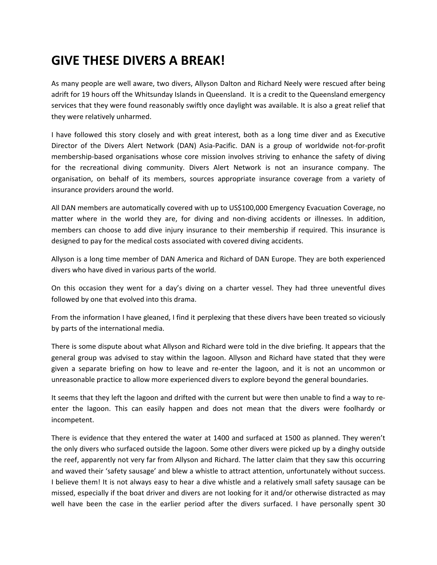## **GIVE THESE DIVERS A BREAK!**

As many people are well aware, two divers, Allyson Dalton and Richard Neely were rescued after being adrift for 19 hours off the Whitsunday Islands in Queensland. It is a credit to the Queensland emergency services that they were found reasonably swiftly once daylight was available. It is also a great relief that they were relatively unharmed.

I have followed this story closely and with great interest, both as a long time diver and as Executive Director of the Divers Alert Network (DAN) Asia‐Pacific. DAN is a group of worldwide not‐for‐profit membership-based organisations whose core mission involves striving to enhance the safety of diving for the recreational diving community. Divers Alert Network is not an insurance company. The organisation, on behalf of its members, sources appropriate insurance coverage from a variety of insurance providers around the world.

All DAN members are automatically covered with up to US\$100,000 Emergency Evacuation Coverage, no matter where in the world they are, for diving and non-diving accidents or illnesses. In addition, members can choose to add dive injury insurance to their membership if required. This insurance is designed to pay for the medical costs associated with covered diving accidents.

Allyson is a long time member of DAN America and Richard of DAN Europe. They are both experienced divers who have dived in various parts of the world.

On this occasion they went for a day's diving on a charter vessel. They had three uneventful dives followed by one that evolved into this drama.

From the information I have gleaned, I find it perplexing that these divers have been treated so viciously by parts of the international media.

There is some dispute about what Allyson and Richard were told in the dive briefing. It appears that the general group was advised to stay within the lagoon. Allyson and Richard have stated that they were given a separate briefing on how to leave and re‐enter the lagoon, and it is not an uncommon or unreasonable practice to allow more experienced divers to explore beyond the general boundaries.

It seems that they left the lagoon and drifted with the current but were then unable to find a way to re‐ enter the lagoon. This can easily happen and does not mean that the divers were foolhardy or incompetent.

There is evidence that they entered the water at 1400 and surfaced at 1500 as planned. They weren't the only divers who surfaced outside the lagoon. Some other divers were picked up by a dinghy outside the reef, apparently not very far from Allyson and Richard. The latter claim that they saw this occurring and waved their 'safety sausage' and blew a whistle to attract attention, unfortunately without success. I believe them! It is not always easy to hear a dive whistle and a relatively small safety sausage can be missed, especially if the boat driver and divers are not looking for it and/or otherwise distracted as may well have been the case in the earlier period after the divers surfaced. I have personally spent 30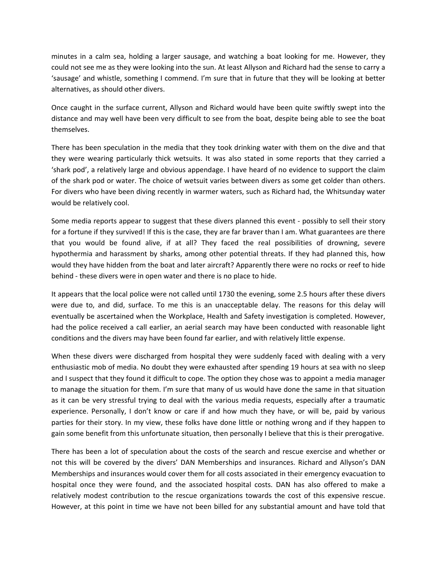minutes in a calm sea, holding a larger sausage, and watching a boat looking for me. However, they could not see me as they were looking into the sun. At least Allyson and Richard had the sense to carry a 'sausage' and whistle, something I commend. I'm sure that in future that they will be looking at better alternatives, as should other divers.

Once caught in the surface current, Allyson and Richard would have been quite swiftly swept into the distance and may well have been very difficult to see from the boat, despite being able to see the boat themselves.

There has been speculation in the media that they took drinking water with them on the dive and that they were wearing particularly thick wetsuits. It was also stated in some reports that they carried a 'shark pod', a relatively large and obvious appendage. I have heard of no evidence to support the claim of the shark pod or water. The choice of wetsuit varies between divers as some get colder than others. For divers who have been diving recently in warmer waters, such as Richard had, the Whitsunday water would be relatively cool.

Some media reports appear to suggest that these divers planned this event ‐ possibly to sell their story for a fortune if they survived! If this is the case, they are far braver than I am. What guarantees are there that you would be found alive, if at all? They faced the real possibilities of drowning, severe hypothermia and harassment by sharks, among other potential threats. If they had planned this, how would they have hidden from the boat and later aircraft? Apparently there were no rocks or reef to hide behind ‐ these divers were in open water and there is no place to hide.

It appears that the local police were not called until 1730 the evening, some 2.5 hours after these divers were due to, and did, surface. To me this is an unacceptable delay. The reasons for this delay will eventually be ascertained when the Workplace, Health and Safety investigation is completed. However, had the police received a call earlier, an aerial search may have been conducted with reasonable light conditions and the divers may have been found far earlier, and with relatively little expense.

When these divers were discharged from hospital they were suddenly faced with dealing with a very enthusiastic mob of media. No doubt they were exhausted after spending 19 hours at sea with no sleep and I suspect that they found it difficult to cope. The option they chose was to appoint a media manager to manage the situation for them. I'm sure that many of us would have done the same in that situation as it can be very stressful trying to deal with the various media requests, especially after a traumatic experience. Personally, I don't know or care if and how much they have, or will be, paid by various parties for their story. In my view, these folks have done little or nothing wrong and if they happen to gain some benefit from this unfortunate situation, then personally I believe that this is their prerogative.

There has been a lot of speculation about the costs of the search and rescue exercise and whether or not this will be covered by the divers' DAN Memberships and insurances. Richard and Allyson's DAN Memberships and insurances would cover them for all costs associated in their emergency evacuation to hospital once they were found, and the associated hospital costs. DAN has also offered to make a relatively modest contribution to the rescue organizations towards the cost of this expensive rescue. However, at this point in time we have not been billed for any substantial amount and have told that